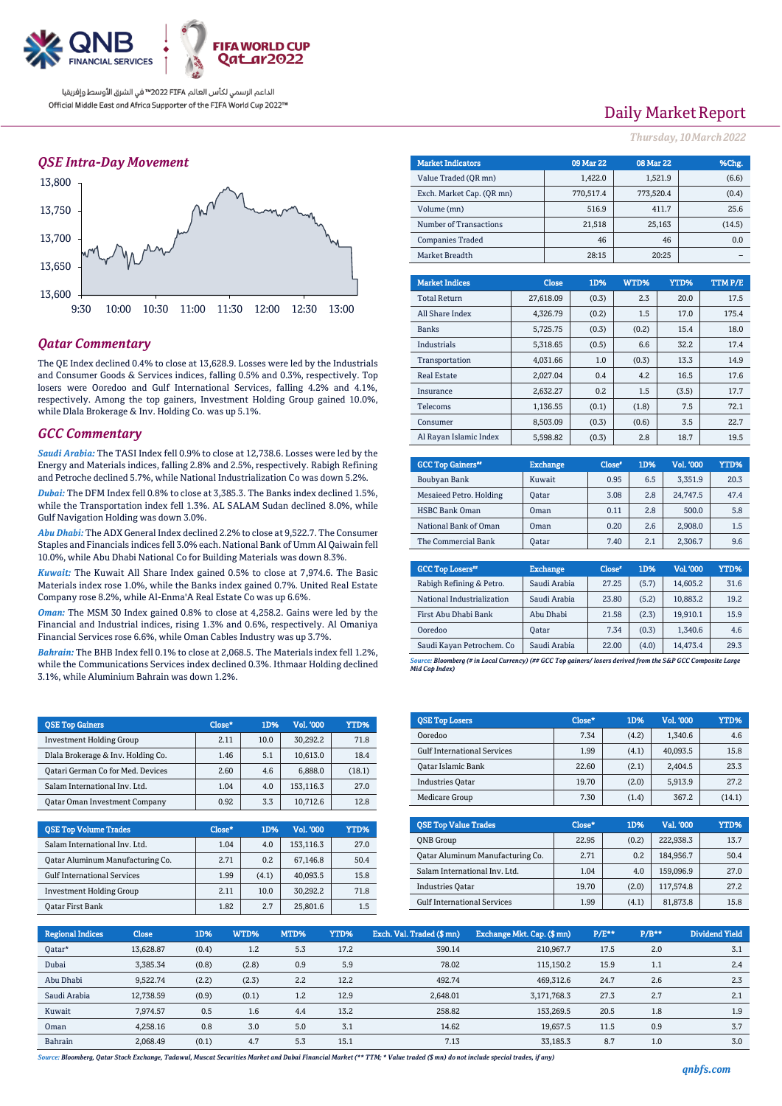

### *QSE Intra-Day Movement*



### *Qatar Commentary*

The QE Index declined 0.4% to close at 13,628.9. Losses were led by the Industrials and Consumer Goods & Services indices, falling 0.5% and 0.3%, respectively. Top losers were Ooredoo and Gulf International Services, falling 4.2% and 4.1%, respectively. Among the top gainers, Investment Holding Group gained 10.0%, while Dlala Brokerage & Inv. Holding Co. was up 5.1%.

### *GCC Commentary*

*Saudi Arabia:* The TASI Index fell 0.9% to close at 12,738.6. Losses were led by the Energy and Materials indices, falling 2.8% and 2.5%, respectively. Rabigh Refining and Petroche declined 5.7%, while National Industrialization Co was down 5.2%.

*Dubai:* The DFM Index fell 0.8% to close at 3,385.3. The Banks index declined 1.5%, while the Transportation index fell 1.3%. AL SALAM Sudan declined 8.0%, while Gulf Navigation Holding was down 3.0%.

*Abu Dhabi:* The ADX General Index declined 2.2% to close at 9,522.7. The Consumer Staples and Financials indices fell 3.0% each. National Bank of Umm Al Qaiwain fell 10.0%, while Abu Dhabi National Co for Building Materials was down 8.3%.

*Kuwait:* The Kuwait All Share Index gained 0.5% to close at 7,974.6. The Basic Materials index rose 1.0%, while the Banks index gained 0.7%. United Real Estate Company rose 8.2%, while Al-Enma'A Real Estate Co was up 6.6%.

*Oman:* The MSM 30 Index gained 0.8% to close at 4,258.2. Gains were led by the Financial and Industrial indices, rising 1.3% and 0.6%, respectively. Al Omaniya Financial Services rose 6.6%, while Oman Cables Industry was up 3.7%.

*Bahrain:* The BHB Index fell 0.1% to close at 2,068.5. The Materials index fell 1.2%, while the Communications Services index declined 0.3%. Ithmaar Holding declined 3.1%, while Aluminium Bahrain was down 1.2%.

| <b>QSE Top Gainers</b>               | Close* | 1D%  | Vol. '000 | YTD%   |
|--------------------------------------|--------|------|-----------|--------|
| <b>Investment Holding Group</b>      | 2.11   | 10.0 | 30.292.2  | 71.8   |
| Dlala Brokerage & Inv. Holding Co.   | 1.46   | 5.1  | 10.613.0  | 18.4   |
| Oatari German Co for Med. Devices    | 2.60   | 4.6  | 6.888.0   | (18.1) |
| Salam International Inv. Ltd.        | 1.04   | 4.0  | 153.116.3 | 27.0   |
| <b>Qatar Oman Investment Company</b> | 0.92   | 3.3  | 10.712.6  | 12.8   |

| <b>OSE Top Volume Trades</b>       | Close* | 1D%   | Vol. '000 | YTD% |
|------------------------------------|--------|-------|-----------|------|
| Salam International Inv. Ltd.      | 1.04   | 4.0   | 153,116.3 | 27.0 |
| Qatar Aluminum Manufacturing Co.   | 2.71   | 0.2   | 67.146.8  | 50.4 |
| <b>Gulf International Services</b> | 1.99   | (4.1) | 40.093.5  | 15.8 |
| <b>Investment Holding Group</b>    | 2.11   | 10.0  | 30.292.2  | 71.8 |
| <b>Qatar First Bank</b>            | 1.82   | 2.7   | 25,801.6  | 1.5  |

# Daily Market Report

*Thursday, 10March2022*

| <b>Market Indicators</b>  |           | 09 Mar 22 | 08 Mar 22 |         |      | %Chg.   |
|---------------------------|-----------|-----------|-----------|---------|------|---------|
| Value Traded (OR mn)      |           | 1,422.0   |           | 1,521.9 |      | (6.6)   |
| Exch. Market Cap. (OR mn) | 770,517.4 |           | 773,520.4 |         |      | (0.4)   |
| Volume (mn)               |           | 516.9     |           | 411.7   |      | 25.6    |
| Number of Transactions    |           | 21,518    |           | 25,163  |      | (14.5)  |
| <b>Companies Traded</b>   |           | 46        |           | 46      | 0.0  |         |
| Market Breadth            |           | 28:15     |           | 20:25   |      |         |
|                           |           |           |           |         |      |         |
| <b>Market Indices</b>     | Close     | 1D%       | WTD%      |         | YTD% | TTM P/E |
| <b>Total Return</b>       | 27,618.09 | (0.3)     | 2.3       |         | 20.0 | 17.5    |
| All Share Index           | 4,326.79  | (0.2)     | 1.5       |         | 17.0 | 175.4   |
| <b>Banks</b>              | 5,725.75  | (0.3)     | (0.2)     |         | 15.4 | 18.0    |
| Industrials               | 5,318.65  | (0.5)     | 6.6       |         | 32.2 | 17.4    |
| Transportation            | 4,031.66  | 1.0       | (0.3)     |         | 13.3 | 14.9    |
| <b>Real Estate</b>        | 2,027.04  | 0.4       | 4.2       |         | 16.5 | 17.6    |

| Insurance              | 2.632.27 | 0.2   | 1.5   | (3.5) | 17.7 |
|------------------------|----------|-------|-------|-------|------|
| Telecoms               | 1.136.55 | (0.1) | (1.8) | 7.5   | 72.1 |
| Consumer               | 8.503.09 | (0.3) | (0.6) | 3.5   | 22.7 |
| Al Rayan Islamic Index | 5,598.82 | (0.3) | 2.8   | 18.7  | 19.5 |
|                        |          |       |       |       |      |

| <b>GCC Top Gainers</b> " | <b>Exchange</b> | Close* | 1D% | Vol. '000 | YTD% |
|--------------------------|-----------------|--------|-----|-----------|------|
| Boubyan Bank             | Kuwait          | 0.95   | 6.5 | 3,351.9   | 20.3 |
| Mesaieed Petro. Holding  | Oatar           | 3.08   | 2.8 | 24.747.5  | 47.4 |
| <b>HSBC Bank Oman</b>    | Oman            | 0.11   | 2.8 | 500.0     | 5.8  |
| National Bank of Oman    | Oman            | 0.20   | 2.6 | 2.908.0   | 1.5  |
| The Commercial Bank      | <b>Oatar</b>    | 7.40   | 2.1 | 2,306.7   | 9.6  |

| <b>GCC Top Losers</b> "    | <b>Exchange</b> | Close <sup>®</sup> | 1D%   | <b>Vol.'000</b> | YTD% |
|----------------------------|-----------------|--------------------|-------|-----------------|------|
| Rabigh Refining & Petro.   | Saudi Arabia    | 27.25              | (5.7) | 14.605.2        | 31.6 |
| National Industrialization | Saudi Arabia    | 23.80              | (5.2) | 10.883.2        | 19.2 |
| First Abu Dhabi Bank       | Abu Dhabi       | 21.58              | (2.3) | 19.910.1        | 15.9 |
| Ooredoo                    | <b>Oatar</b>    | 7.34               | (0.3) | 1.340.6         | 4.6  |
| Saudi Kayan Petrochem. Co  | Saudi Arabia    | 22.00              | (4.0) | 14,473.4        | 29.3 |

*Source: Bloomberg (# in Local Currency) (## GCC Top gainers/ losers derived from the S&P GCC Composite Large Mid Cap Index)*

| <b>QSE Top Losers</b>              | Close* | 1D%   | Vol. '000 | YTD%   |
|------------------------------------|--------|-------|-----------|--------|
| Ooredoo                            | 7.34   | (4.2) | 1.340.6   | 4.6    |
| <b>Gulf International Services</b> | 1.99   | (4.1) | 40.093.5  | 15.8   |
| <b>Oatar Islamic Bank</b>          | 22.60  | (2.1) | 2.404.5   | 23.3   |
| <b>Industries Oatar</b>            | 19.70  | (2.0) | 5.913.9   | 27.2   |
| Medicare Group                     | 7.30   | (1.4) | 367.2     | (14.1) |

| <b>OSE Top Value Trades</b>        | Close* | 1D%   | Val. '000 | YTD% |
|------------------------------------|--------|-------|-----------|------|
| <b>ONB</b> Group                   | 22.95  | (0.2) | 222.938.3 | 13.7 |
| Oatar Aluminum Manufacturing Co.   | 2.71   | 0.2   | 184.956.7 | 50.4 |
| Salam International Inv. Ltd.      | 1.04   | 4.0   | 159,096.9 | 27.0 |
| <b>Industries Oatar</b>            | 19.70  | (2.0) | 117.574.8 | 27.2 |
| <b>Gulf International Services</b> | 1.99   | (4.1) | 81,873.8  | 15.8 |

| <b>Regional Indices</b> | <b>Close</b> | 1D%   | WTD%  | MTD% | YTD% | Exch. Val. Traded (\$mn) | Exchange Mkt. Cap. (\$mn) | $P/E**$ | $P/B**$ | Dividend Yield |
|-------------------------|--------------|-------|-------|------|------|--------------------------|---------------------------|---------|---------|----------------|
| Qatar*                  | 13.628.87    | (0.4) | 1.2   | 5.3  | 17.2 | 390.14                   | 210,967.7                 | 17.5    | 2.0     | 3.1            |
| Dubai                   | 3,385.34     | (0.8) | (2.8) | 0.9  | 5.9  | 78.02                    | 115.150.2                 | 15.9    | 1.1     | 2.4            |
| Abu Dhabi               | 9,522.74     | (2.2) | (2.3) | 2.2  | 12.2 | 492.74                   | 469.312.6                 | 24.7    | 2.6     | 2.3            |
| Saudi Arabia            | 12,738.59    | (0.9) | (0.1) | 1.2  | 12.9 | 2,648.01                 | 3.171.768.3               | 27.3    | 2.7     | 2.1            |
| Kuwait                  | 7.974.57     | 0.5   | 1.6   | 4.4  | 13.2 | 258.82                   | 153.269.5                 | 20.5    | 1.8     | 1.9            |
| Oman                    | 4.258.16     | 0.8   | 3.0   | 5.0  | 3.1  | 14.62                    | 19.657.5                  | 11.5    | 0.9     | 3.7            |
| Bahrain                 | 2.068.49     | (0.1) | 4.7   | 5.3  | 15.1 | 7.13                     | 33.185.3                  | 8.7     | 1.0     | 3.0            |

*Source: Bloomberg, Qatar Stock Exchange, Tadawul, Muscat Securities Market and Dubai Financial Market (\*\* TTM; \* Value traded (\$ mn) do not include special trades, if any)*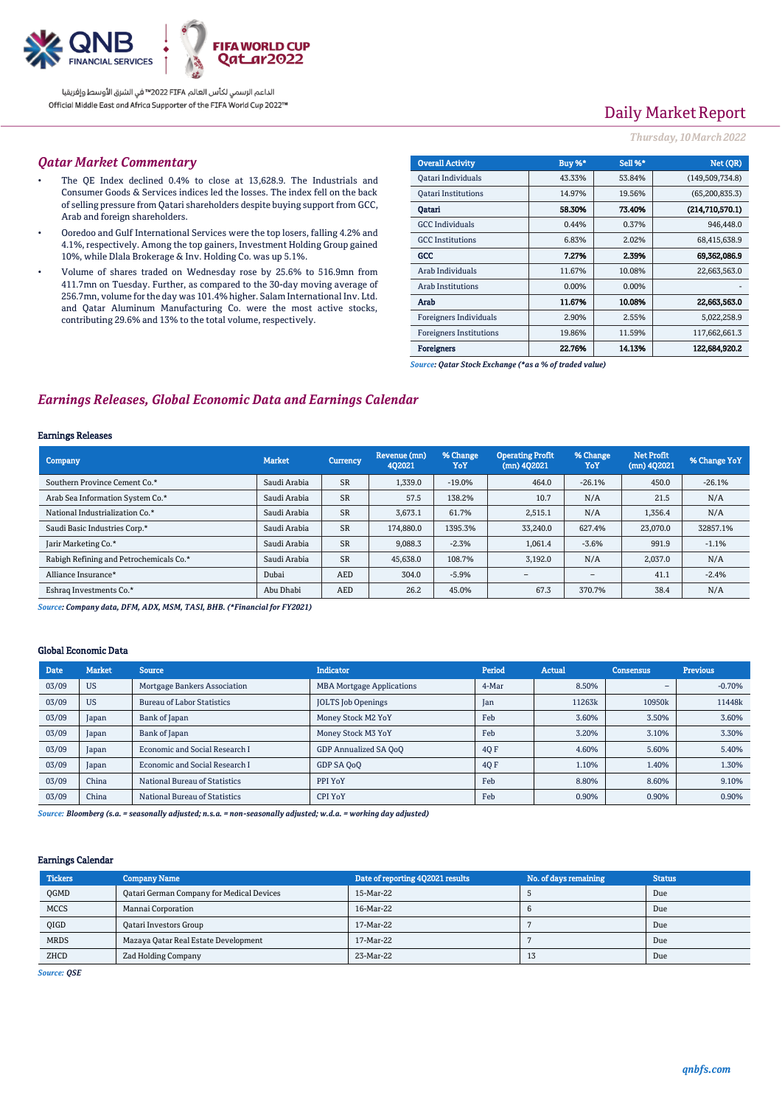

# Daily Market Report

### *Thursday, 10March2022*

#### *Qatar Market Commentary*

- The QE Index declined 0.4% to close at 13,628.9. The Industrials and Consumer Goods & Services indices led the losses. The index fell on the back of selling pressure from Qatari shareholders despite buying support from GCC, Arab and foreign shareholders.
- Ooredoo and Gulf International Services were the top losers, falling 4.2% and 4.1%, respectively. Among the top gainers, Investment Holding Group gained 10%, while Dlala Brokerage & Inv. Holding Co. was up 5.1%.
- Volume of shares traded on Wednesday rose by 25.6% to 516.9mn from 411.7mn on Tuesday. Further, as compared to the 30-day moving average of 256.7mn, volume for the day was 101.4% higher. Salam International Inv. Ltd. and Qatar Aluminum Manufacturing Co. were the most active stocks, contributing 29.6% and 13% to the total volume, respectively.

| <b>Overall Activity</b>        | Buy %* | <b>Sell %*</b> | Net (OR)          |
|--------------------------------|--------|----------------|-------------------|
| Qatari Individuals             | 43.33% | 53.84%         | (149, 509, 734.8) |
| <b>Oatari Institutions</b>     | 14.97% | 19.56%         | (65, 200, 835.3)  |
| Oatari                         | 58.30% | 73.40%         | (214.710.570.1)   |
| <b>GCC</b> Individuals         | 0.44%  | 0.37%          | 946,448.0         |
| <b>GCC</b> Institutions        | 6.83%  | 2.02%          | 68,415,638.9      |
| GCC                            | 7.27%  | 2.39%          | 69,362,086.9      |
| Arab Individuals               | 11.67% | 10.08%         | 22,663,563.0      |
| <b>Arab Institutions</b>       | 0.00%  | 0.00%          |                   |
| Arab                           | 11.67% | 10.08%         | 22.663.563.0      |
| <b>Foreigners Individuals</b>  | 2.90%  | 2.55%          | 5,022,258.9       |
| <b>Foreigners Institutions</b> | 19.86% | 11.59%         | 117,662,661.3     |
| <b>Foreigners</b>              | 22.76% | 14.13%         | 122,684.920.2     |

*Source: Qatar Stock Exchange (\*as a % of traded value)*

### *Earnings Releases, Global Economic Data and Earnings Calendar*

#### Earnings Releases

| <b>Company</b>                          | <b>Market</b> | Currency   | Revenue (mn)<br>402021 | % Change<br><b>YoY</b> | <b>Operating Profit</b><br>$(mn)$ 402021 | % Change<br>YoY | <b>Net Profit</b><br>$(mn)$ 4Q2021 | % Change YoY |
|-----------------------------------------|---------------|------------|------------------------|------------------------|------------------------------------------|-----------------|------------------------------------|--------------|
| Southern Province Cement Co.*           | Saudi Arabia  | <b>SR</b>  | 1,339.0                | $-19.0\%$              | 464.0                                    | $-26.1%$        | 450.0                              | $-26.1%$     |
| Arab Sea Information System Co.*        | Saudi Arabia  | <b>SR</b>  | 57.5                   | 138.2%                 | 10.7                                     | N/A             | 21.5                               | N/A          |
| National Industrialization Co.*         | Saudi Arabia  | <b>SR</b>  | 3.673.1                | 61.7%                  | 2,515.1                                  | N/A             | 1,356.4                            | N/A          |
| Saudi Basic Industries Corp.*           | Saudi Arabia  | <b>SR</b>  | 174,880.0              | 1395.3%                | 33,240.0                                 | 627.4%          | 23,070.0                           | 32857.1%     |
| Jarir Marketing Co.*                    | Saudi Arabia  | <b>SR</b>  | 9.088.3                | $-2.3%$                | 1.061.4                                  | $-3.6%$         | 991.9                              | $-1.1%$      |
| Rabigh Refining and Petrochemicals Co.* | Saudi Arabia  | <b>SR</b>  | 45,638.0               | 108.7%                 | 3,192.0                                  | N/A             | 2.037.0                            | N/A          |
| Alliance Insurance*                     | Dubai         | <b>AED</b> | 304.0                  | $-5.9%$                | $\overline{\phantom{a}}$                 | $\qquad \qquad$ | 41.1                               | $-2.4%$      |
| Eshraq Investments Co.*                 | Abu Dhabi     | <b>AED</b> | 26.2                   | 45.0%                  | 67.3                                     | 370.7%          | 38.4                               | N/A          |

*Source: Company data, DFM, ADX, MSM, TASI, BHB. (\*Financial for FY2021)*

### Global Economic Data

| Date  | <b>Market</b> | <b>Source</b>                     | <b>Indicator</b>                 | Period | <b>Actual</b> | <b>Consensus</b>         | <b>Previous</b> |
|-------|---------------|-----------------------------------|----------------------------------|--------|---------------|--------------------------|-----------------|
| 03/09 | <b>US</b>     | Mortgage Bankers Association      | <b>MBA Mortgage Applications</b> | 4-Mar  | 8.50%         | $\overline{\phantom{0}}$ | $-0.70%$        |
| 03/09 | <b>US</b>     | <b>Bureau of Labor Statistics</b> | <b>JOLTS</b> Job Openings        | Jan    | 11263k        | 10950k                   | 11448k          |
| 03/09 | Japan         | Bank of Japan                     | Money Stock M2 YoY               | Feb    | 3.60%         | 3.50%                    | 3.60%           |
| 03/09 | Japan         | Bank of Japan                     | Money Stock M3 YoY               | Feb    | 3.20%         | 3.10%                    | 3.30%           |
| 03/09 | Japan         | Economic and Social Research I    | GDP Annualized SA QoQ            | 4Q F   | 4.60%         | 5.60%                    | 5.40%           |
| 03/09 | Japan         | Economic and Social Research I    | GDP SA QoQ                       | 40 F   | 1.10%         | 1.40%                    | 1.30%           |
| 03/09 | China         | National Bureau of Statistics     | PPI YoY                          | Feb    | 8.80%         | 8.60%                    | 9.10%           |
| 03/09 | China         | National Bureau of Statistics     | CPI YoY                          | Feb    | 0.90%         | 0.90%                    | 0.90%           |

*Source: Bloomberg (s.a. = seasonally adjusted; n.s.a. = non-seasonally adjusted; w.d.a. = working day adjusted)*

#### Earnings Calendar

| <b>Tickers</b> | <b>Company Name</b>                       | Date of reporting 4Q2021 results | No. of days remaining | <b>Status</b> |
|----------------|-------------------------------------------|----------------------------------|-----------------------|---------------|
| <b>OGMD</b>    | Qatari German Company for Medical Devices | 15-Mar-22                        |                       | Due           |
| <b>MCCS</b>    | Mannai Corporation                        | 16-Mar-22                        |                       | Due           |
| <b>OIGD</b>    | <b>Qatari Investors Group</b>             | 17-Mar-22                        |                       | Due           |
| <b>MRDS</b>    | Mazaya Qatar Real Estate Development      | 17-Mar-22                        |                       | Due           |
| ZHCD           | Zad Holding Company                       | 23-Mar-22                        | 13                    | Due           |

*Source: QSE*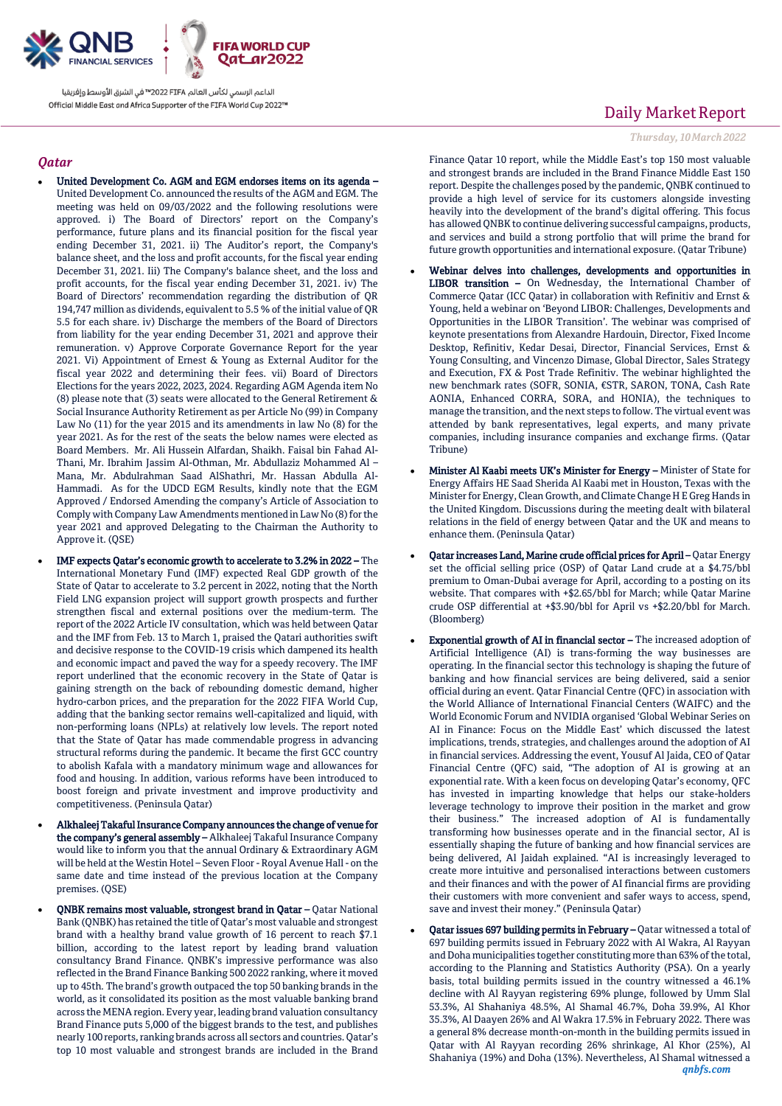

### *Qatar*

- United Development Co. AGM and EGM endorses items on its agenda United Development Co. announced the results of the AGM and EGM. The meeting was held on 09/03/2022 and the following resolutions were approved. i) The Board of Directors' report on the Company's performance, future plans and its financial position for the fiscal year ending December 31, 2021. ii) The Auditor's report, the Company's balance sheet, and the loss and profit accounts, for the fiscal year ending December 31, 2021. Iii) The Company's balance sheet, and the loss and profit accounts, for the fiscal year ending December 31, 2021. iv) The Board of Directors' recommendation regarding the distribution of QR 194,747 million as dividends, equivalent to 5.5 % of the initial value of QR 5.5 for each share. iv) Discharge the members of the Board of Directors from liability for the year ending December 31, 2021 and approve their remuneration. v) Approve Corporate Governance Report for the year 2021. Vi) Appointment of Ernest & Young as External Auditor for the fiscal year 2022 and determining their fees. vii) Board of Directors Elections for the years 2022, 2023, 2024. Regarding AGM Agenda item No (8) please note that (3) seats were allocated to the General Retirement & Social Insurance Authority Retirement as per Article No (99) in Company Law No (11) for the year 2015 and its amendments in law No (8) for the year 2021. As for the rest of the seats the below names were elected as Board Members. Mr. Ali Hussein Alfardan, Shaikh. Faisal bin Fahad Al-Thani, Mr. Ibrahim Jassim Al-Othman, Mr. Abdullaziz Mohammed Al – Mana, Mr. Abdulrahman Saad AlShathri, Mr. Hassan Abdulla Al-Hammadi. As for the UDCD EGM Results, kindly note that the EGM Approved / Endorsed Amending the company's Article of Association to Comply with Company Law Amendments mentioned in Law No (8) for the year 2021 and approved Delegating to the Chairman the Authority to Approve it. (QSE)
- IMF expects Qatar's economic growth to accelerate to 3.2% in 2022 The International Monetary Fund (IMF) expected Real GDP growth of the State of Qatar to accelerate to 3.2 percent in 2022, noting that the North Field LNG expansion project will support growth prospects and further strengthen fiscal and external positions over the medium-term. The report of the 2022 Article IV consultation, which was held between Qatar and the IMF from Feb. 13 to March 1, praised the Qatari authorities swift and decisive response to the COVID-19 crisis which dampened its health and economic impact and paved the way for a speedy recovery. The IMF report underlined that the economic recovery in the State of Qatar is gaining strength on the back of rebounding domestic demand, higher hydro-carbon prices, and the preparation for the 2022 FIFA World Cup, adding that the banking sector remains well-capitalized and liquid, with non-performing loans (NPLs) at relatively low levels. The report noted that the State of Qatar has made commendable progress in advancing structural reforms during the pandemic. It became the first GCC country to abolish Kafala with a mandatory minimum wage and allowances for food and housing. In addition, various reforms have been introduced to boost foreign and private investment and improve productivity and competitiveness. (Peninsula Qatar)
- Alkhaleej Takaful Insurance Company announces the change of venue for the company's general assembly – Alkhaleej Takaful Insurance Company would like to inform you that the annual Ordinary & Extraordinary AGM will be held at the Westin Hotel – Seven Floor - Royal Avenue Hall - on the same date and time instead of the previous location at the Company premises. (QSE)
- QNBK remains most valuable, strongest brand in Qatar Qatar National Bank (QNBK) has retained the title of Qatar's most valuable and strongest brand with a healthy brand value growth of 16 percent to reach \$7.1 billion, according to the latest report by leading brand valuation consultancy Brand Finance. QNBK's impressive performance was also reflected in the Brand Finance Banking 500 2022 ranking, where it moved up to 45th. The brand's growth outpaced the top 50 banking brands in the world, as it consolidated its position as the most valuable banking brand across the MENA region. Every year, leading brand valuation consultancy Brand Finance puts 5,000 of the biggest brands to the test, and publishes nearly 100 reports, ranking brands across all sectors and countries. Qatar's top 10 most valuable and strongest brands are included in the Brand

## Daily Market Report

*Thursday, 10March2022*

Finance Qatar 10 report, while the Middle East's top 150 most valuable and strongest brands are included in the Brand Finance Middle East 150 report. Despite the challenges posed by the pandemic, QNBK continued to provide a high level of service for its customers alongside investing heavily into the development of the brand's digital offering. This focus has allowed QNBK to continue delivering successful campaigns, products, and services and build a strong portfolio that will prime the brand for future growth opportunities and international exposure. (Qatar Tribune)

- Webinar delves into challenges, developments and opportunities in LIBOR transition – On Wednesday, the International Chamber of Commerce Qatar (ICC Qatar) in collaboration with Refinitiv and Ernst & Young, held a webinar on 'Beyond LIBOR: Challenges, Developments and Opportunities in the LIBOR Transition'. The webinar was comprised of keynote presentations from Alexandre Hardouin, Director, Fixed Income Desktop, Refinitiv, Kedar Desai, Director, Financial Services, Ernst & Young Consulting, and Vincenzo Dimase, Global Director, Sales Strategy and Execution, FX & Post Trade Refinitiv. The webinar highlighted the new benchmark rates (SOFR, SONIA, €STR, SARON, TONA, Cash Rate AONIA, Enhanced CORRA, SORA, and HONIA), the techniques to manage the transition, and the next steps to follow. The virtual event was attended by bank representatives, legal experts, and many private companies, including insurance companies and exchange firms. (Qatar Tribune)
- Minister Al Kaabi meets UK's Minister for Energy Minister of State for Energy Affairs HE Saad Sherida Al Kaabi met in Houston, Texas with the Minister for Energy, Clean Growth, and Climate Change H E Greg Hands in the United Kingdom. Discussions during the meeting dealt with bilateral relations in the field of energy between Qatar and the UK and means to enhance them. (Peninsula Qatar)
- Qatar increases Land, Marine crude official prices for April Qatar Energy set the official selling price (OSP) of Qatar Land crude at a \$4.75/bbl premium to Oman-Dubai average for April, according to a posting on its website. That compares with +\$2.65/bbl for March; while Qatar Marine crude OSP differential at +\$3.90/bbl for April vs +\$2.20/bbl for March. (Bloomberg)
- Exponential growth of AI in financial sector The increased adoption of Artificial Intelligence (AI) is trans-forming the way businesses are operating. In the financial sector this technology is shaping the future of banking and how financial services are being delivered, said a senior official during an event. Qatar Financial Centre (QFC) in association with the World Alliance of International Financial Centers (WAIFC) and the World Economic Forum and NVIDIA organised 'Global Webinar Series on AI in Finance: Focus on the Middle East' which discussed the latest implications, trends, strategies, and challenges around the adoption of AI in financial services. Addressing the event, Yousuf Al Jaida, CEO of Qatar Financial Centre (QFC) said, "The adoption of AI is growing at an exponential rate. With a keen focus on developing Qatar's economy, QFC has invested in imparting knowledge that helps our stake-holders leverage technology to improve their position in the market and grow their business." The increased adoption of AI is fundamentally transforming how businesses operate and in the financial sector, AI is essentially shaping the future of banking and how financial services are being delivered, Al Jaidah explained. "AI is increasingly leveraged to create more intuitive and personalised interactions between customers and their finances and with the power of AI financial firms are providing their customers with more convenient and safer ways to access, spend, save and invest their money." (Peninsula Qatar)
- *qnbfs.com* Qatar issues 697 building permits in February – Qatar witnessed a total of 697 building permits issued in February 2022 with Al Wakra, Al Rayyan and Doha municipalities together constituting more than 63% of the total, according to the Planning and Statistics Authority (PSA). On a yearly basis, total building permits issued in the country witnessed a 46.1% decline with Al Rayyan registering 69% plunge, followed by Umm Slal 53.3%, Al Shahaniya 48.5%, Al Shamal 46.7%, Doha 39.9%, Al Khor 35.3%, Al Daayen 26% and Al Wakra 17.5% in February 2022. There was a general 8% decrease month-on-month in the building permits issued in Qatar with Al Rayyan recording 26% shrinkage, Al Khor (25%), Al Shahaniya (19%) and Doha (13%). Nevertheless, Al Shamal witnessed a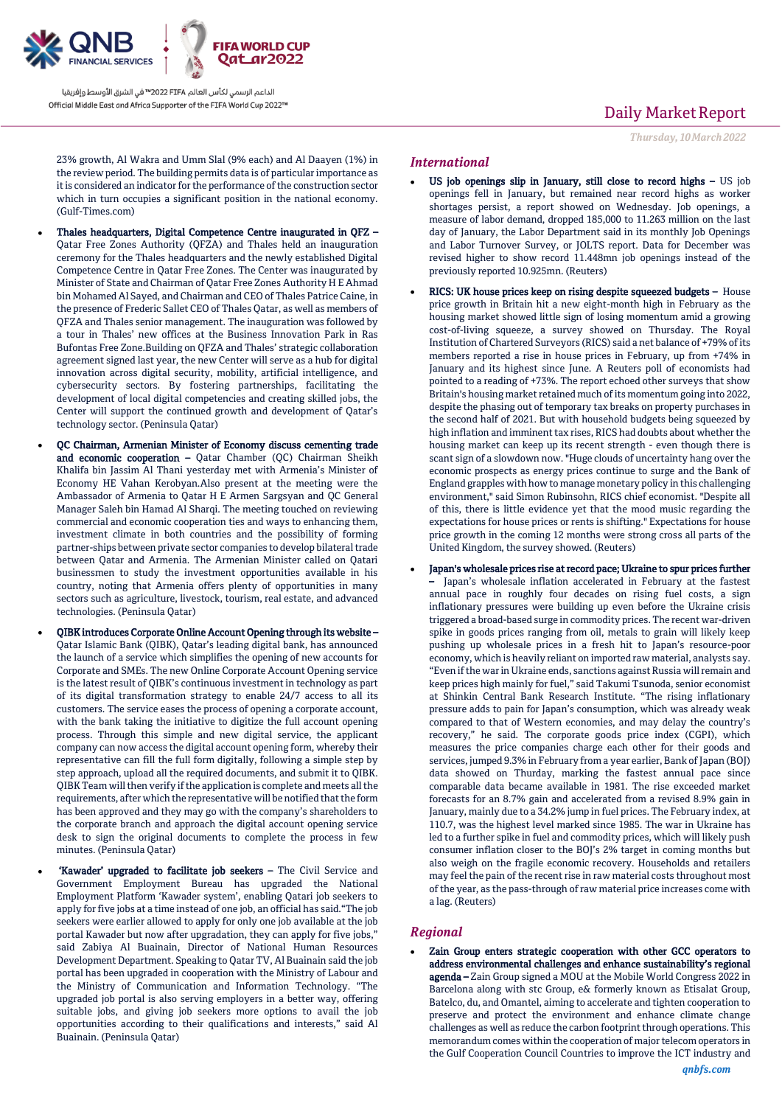

## Daily Market Report

*Thursday, 10March2022*

23% growth, Al Wakra and Umm Slal (9% each) and Al Daayen (1%) in the review period. The building permits data is of particular importance as it is considered an indicator for the performance of the construction sector which in turn occupies a significant position in the national economy. (Gulf-Times.com)

- Thales headquarters, Digital Competence Centre inaugurated in QFZ Qatar Free Zones Authority (QFZA) and Thales held an inauguration ceremony for the Thales headquarters and the newly established Digital Competence Centre in Qatar Free Zones. The Center was inaugurated by Minister of State and Chairman of Qatar Free Zones Authority H E Ahmad bin Mohamed Al Sayed, and Chairman and CEO of Thales Patrice Caine, in the presence of Frederic Sallet CEO of Thales Qatar, as well as members of QFZA and Thales senior management. The inauguration was followed by a tour in Thales' new offices at the Business Innovation Park in Ras Bufontas Free Zone.Building on QFZA and Thales' strategic collaboration agreement signed last year, the new Center will serve as a hub for digital innovation across digital security, mobility, artificial intelligence, and cybersecurity sectors. By fostering partnerships, facilitating the development of local digital competencies and creating skilled jobs, the Center will support the continued growth and development of Qatar's technology sector. (Peninsula Qatar)
- QC Chairman, Armenian Minister of Economy discuss cementing trade and economic cooperation – Qatar Chamber (QC) Chairman Sheikh Khalifa bin Jassim Al Thani yesterday met with Armenia's Minister of Economy HE Vahan Kerobyan.Also present at the meeting were the Ambassador of Armenia to Qatar H E Armen Sargsyan and QC General Manager Saleh bin Hamad Al Sharqi. The meeting touched on reviewing commercial and economic cooperation ties and ways to enhancing them, investment climate in both countries and the possibility of forming partner-ships between private sector companies to develop bilateral trade between Qatar and Armenia. The Armenian Minister called on Qatari businessmen to study the investment opportunities available in his country, noting that Armenia offers plenty of opportunities in many sectors such as agriculture, livestock, tourism, real estate, and advanced technologies. (Peninsula Qatar)
- QIBK introduces Corporate Online Account Opening through its website Qatar Islamic Bank (QIBK), Qatar's leading digital bank, has announced the launch of a service which simplifies the opening of new accounts for Corporate and SMEs. The new Online Corporate Account Opening service is the latest result of QIBK's continuous investment in technology as part of its digital transformation strategy to enable 24/7 access to all its customers. The service eases the process of opening a corporate account, with the bank taking the initiative to digitize the full account opening process. Through this simple and new digital service, the applicant company can now access the digital account opening form, whereby their representative can fill the full form digitally, following a simple step by step approach, upload all the required documents, and submit it to QIBK. QIBK Team will then verify if the application is complete and meets all the requirements, after which the representative will be notified that the form has been approved and they may go with the company's shareholders to the corporate branch and approach the digital account opening service desk to sign the original documents to complete the process in few minutes. (Peninsula Qatar)
- 'Kawader' upgraded to facilitate job seekers The Civil Service and Government Employment Bureau has upgraded the National Employment Platform 'Kawader system', enabling Qatari job seekers to apply for five jobs at a time instead of one job, an official has said."The job seekers were earlier allowed to apply for only one job available at the job portal Kawader but now after upgradation, they can apply for five jobs,' said Zabiya Al Buainain, Director of National Human Resources Development Department. Speaking to Qatar TV, Al Buainain said the job portal has been upgraded in cooperation with the Ministry of Labour and the Ministry of Communication and Information Technology. "The upgraded job portal is also serving employers in a better way, offering suitable jobs, and giving job seekers more options to avail the job opportunities according to their qualifications and interests," said Al Buainain. (Peninsula Qatar)

### *International*

- US job openings slip in January, still close to record highs US job openings fell in January, but remained near record highs as worker shortages persist, a report showed on Wednesday. Job openings, a measure of labor demand, dropped 185,000 to 11.263 million on the last day of January, the Labor Department said in its monthly Job Openings and Labor Turnover Survey, or JOLTS report. Data for December was revised higher to show record 11.448mn job openings instead of the previously reported 10.925mn. (Reuters)
- RICS: UK house prices keep on rising despite squeezed budgets House price growth in Britain hit a new eight-month high in February as the housing market showed little sign of losing momentum amid a growing cost-of-living squeeze, a survey showed on Thursday. The Royal Institution of Chartered Surveyors (RICS) said a net balance of +79% of its members reported a rise in house prices in February, up from +74% in January and its highest since June. A Reuters poll of economists had pointed to a reading of +73%. The report echoed other surveys that show Britain's housing market retained much of its momentum going into 2022, despite the phasing out of temporary tax breaks on property purchases in the second half of 2021. But with household budgets being squeezed by high inflation and imminent tax rises, RICS had doubts about whether the housing market can keep up its recent strength - even though there is scant sign of a slowdown now. "Huge clouds of uncertainty hang over the economic prospects as energy prices continue to surge and the Bank of England grapples with how to manage monetary policy in this challenging environment," said Simon Rubinsohn, RICS chief economist. "Despite all of this, there is little evidence yet that the mood music regarding the expectations for house prices or rents is shifting." Expectations for house price growth in the coming 12 months were strong cross all parts of the United Kingdom, the survey showed. (Reuters)
- Japan's wholesale prices rise at record pace; Ukraine to spur prices further Japan's wholesale inflation accelerated in February at the fastest annual pace in roughly four decades on rising fuel costs, a sign inflationary pressures were building up even before the Ukraine crisis triggered a broad-based surge in commodity prices. The recent war-driven spike in goods prices ranging from oil, metals to grain will likely keep pushing up wholesale prices in a fresh hit to Japan's resource-poor economy, which is heavily reliant on imported raw material, analysts say. "Even if the war in Ukraine ends, sanctions against Russia will remain and keep prices high mainly for fuel," said Takumi Tsunoda, senior economist at Shinkin Central Bank Research Institute. "The rising inflationary pressure adds to pain for Japan's consumption, which was already weak compared to that of Western economies, and may delay the country's recovery," he said. The corporate goods price index (CGPI), which measures the price companies charge each other for their goods and services, jumped 9.3% in February from a year earlier, Bank of Japan (BOJ) data showed on Thurday, marking the fastest annual pace since comparable data became available in 1981. The rise exceeded market forecasts for an 8.7% gain and accelerated from a revised 8.9% gain in January, mainly due to a 34.2% jump in fuel prices. The February index, at 110.7, was the highest level marked since 1985. The war in Ukraine has led to a further spike in fuel and commodity prices, which will likely push consumer inflation closer to the BOJ's 2% target in coming months but also weigh on the fragile economic recovery. Households and retailers may feel the pain of the recent rise in raw material costs throughout most of the year, as the pass-through of raw material price increases come with a lag. (Reuters)

### *Regional*

 Zain Group enters strategic cooperation with other GCC operators to address environmental challenges and enhance sustainability's regional agenda – Zain Group signed a MOU at the Mobile World Congress 2022 in Barcelona along with stc Group, e& formerly known as Etisalat Group, Batelco, du, and Omantel, aiming to accelerate and tighten cooperation to preserve and protect the environment and enhance climate change challenges as well as reduce the carbon footprint through operations. This memorandum comes within the cooperation of major telecom operators in the Gulf Cooperation Council Countries to improve the ICT industry and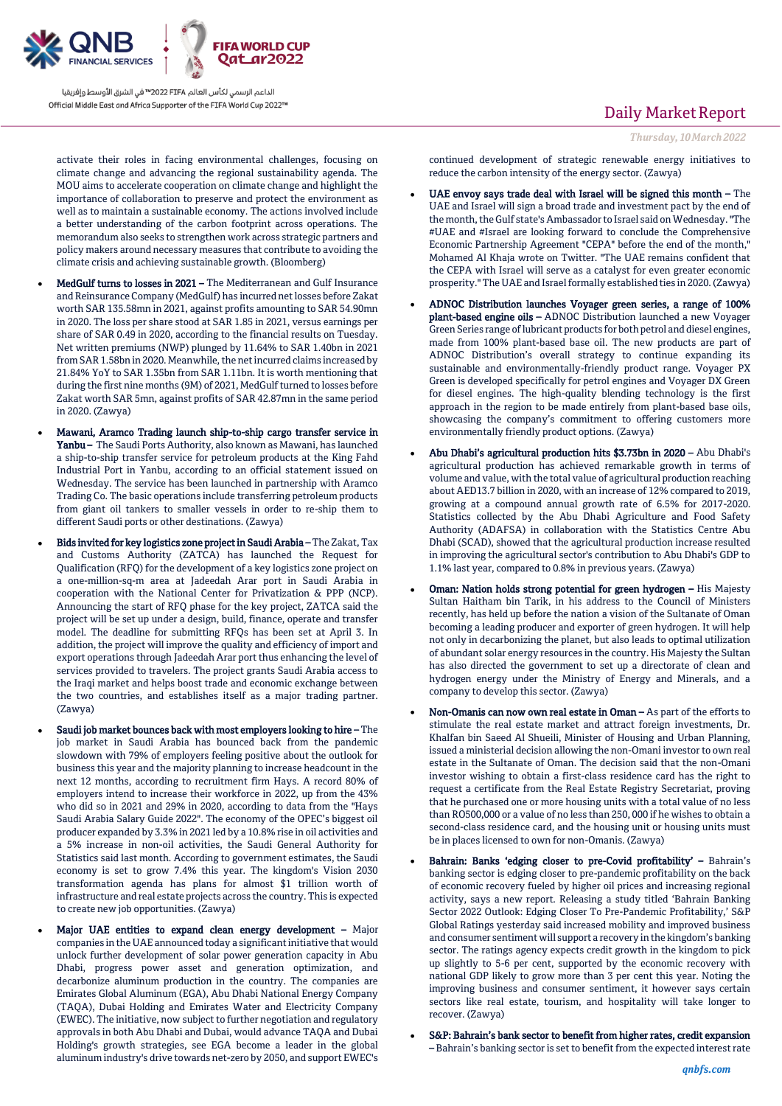

activate their roles in facing environmental challenges, focusing on climate change and advancing the regional sustainability agenda. The MOU aims to accelerate cooperation on climate change and highlight the importance of collaboration to preserve and protect the environment as well as to maintain a sustainable economy. The actions involved include a better understanding of the carbon footprint across operations. The memorandum also seeks to strengthen work across strategic partners and policy makers around necessary measures that contribute to avoiding the climate crisis and achieving sustainable growth. (Bloomberg)

- MedGulf turns to losses in 2021 The Mediterranean and Gulf Insurance and Reinsurance Company (MedGulf) has incurred net losses before Zakat worth SAR 135.58mn in 2021, against profits amounting to SAR 54.90mn in 2020. The loss per share stood at SAR 1.85 in 2021, versus earnings per share of SAR 0.49 in 2020, according to the financial results on Tuesday. Net written premiums (NWP) plunged by 11.64% to SAR 1.40bn in 2021 from SAR 1.58bn in 2020. Meanwhile, the net incurred claims increased by 21.84% YoY to SAR 1.35bn from SAR 1.11bn. It is worth mentioning that during the first nine months (9M) of 2021, MedGulf turned to losses before Zakat worth SAR 5mn, against profits of SAR 42.87mn in the same period in 2020. (Zawya)
- Mawani, Aramco Trading launch ship-to-ship cargo transfer service in Yanbu - The Saudi Ports Authority, also known as Mawani, has launched a ship-to-ship transfer service for petroleum products at the King Fahd Industrial Port in Yanbu, according to an official statement issued on Wednesday. The service has been launched in partnership with Aramco Trading Co. The basic operations include transferring petroleum products from giant oil tankers to smaller vessels in order to re-ship them to different Saudi ports or other destinations. (Zawya)
- Bids invited for key logistics zone project in Saudi Arabia The Zakat, Tax and Customs Authority (ZATCA) has launched the Request for Qualification (RFQ) for the development of a key logistics zone project on a one-million-sq-m area at Jadeedah Arar port in Saudi Arabia in cooperation with the National Center for Privatization & PPP (NCP). Announcing the start of RFQ phase for the key project, ZATCA said the project will be set up under a design, build, finance, operate and transfer model. The deadline for submitting RFQs has been set at April 3. In addition, the project will improve the quality and efficiency of import and export operations through Jadeedah Arar port thus enhancing the level of services provided to travelers. The project grants Saudi Arabia access to the Iraqi market and helps boost trade and economic exchange between the two countries, and establishes itself as a major trading partner. (Zawya)
- Saudi job market bounces back with most employers looking to hire The job market in Saudi Arabia has bounced back from the pandemic slowdown with 79% of employers feeling positive about the outlook for business this year and the majority planning to increase headcount in the next 12 months, according to recruitment firm Hays. A record 80% of employers intend to increase their workforce in 2022, up from the 43% who did so in 2021 and 29% in 2020, according to data from the "Hays Saudi Arabia Salary Guide 2022". The economy of the OPEC's biggest oil producer expanded by 3.3% in 2021 led by a 10.8% rise in oil activities and a 5% increase in non-oil activities, the Saudi General Authority for Statistics said last month. According to government estimates, the Saudi economy is set to grow 7.4% this year. The kingdom's Vision 2030 transformation agenda has plans for almost \$1 trillion worth of infrastructure and real estate projects across the country. This is expected to create new job opportunities. (Zawya)
- Major UAE entities to expand clean energy development Major companies in the UAE announced today a significant initiative that would unlock further development of solar power generation capacity in Abu Dhabi, progress power asset and generation optimization, and decarbonize aluminum production in the country. The companies are Emirates Global Aluminum (EGA), Abu Dhabi National Energy Company (TAQA), Dubai Holding and Emirates Water and Electricity Company (EWEC). The initiative, now subject to further negotiation and regulatory approvals in both Abu Dhabi and Dubai, would advance TAQA and Dubai Holding's growth strategies, see EGA become a leader in the global aluminum industry's drive towards net-zero by 2050, and support EWEC's

## Daily Market Report

*Thursday, 10March2022*

continued development of strategic renewable energy initiatives to reduce the carbon intensity of the energy sector. (Zawya)

- UAE envoy says trade deal with Israel will be signed this month The UAE and Israel will sign a broad trade and investment pact by the end of the month, the Gulf state's Ambassador to Israel said on Wednesday. "The #UAE and #Israel are looking forward to conclude the Comprehensive Economic Partnership Agreement "CEPA" before the end of the month," Mohamed Al Khaja wrote on Twitter. "The UAE remains confident that the CEPA with Israel will serve as a catalyst for even greater economic prosperity." The UAE and Israel formally established ties in 2020. (Zawya)
- ADNOC Distribution launches Voyager green series, a range of 100% plant-based engine oils – ADNOC Distribution launched a new Voyager Green Series range of lubricant products for both petrol and diesel engines, made from 100% plant-based base oil. The new products are part of ADNOC Distribution's overall strategy to continue expanding its sustainable and environmentally-friendly product range. Voyager PX Green is developed specifically for petrol engines and Voyager DX Green for diesel engines. The high-quality blending technology is the first approach in the region to be made entirely from plant-based base oils, showcasing the company's commitment to offering customers more environmentally friendly product options. (Zawya)
- Abu Dhabi's agricultural production hits \$3.73bn in 2020 Abu Dhabi's agricultural production has achieved remarkable growth in terms of volume and value, with the total value of agricultural production reaching about AED13.7 billion in 2020, with an increase of 12% compared to 2019, growing at a compound annual growth rate of 6.5% for 2017-2020. Statistics collected by the Abu Dhabi Agriculture and Food Safety Authority (ADAFSA) in collaboration with the Statistics Centre Abu Dhabi (SCAD), showed that the agricultural production increase resulted in improving the agricultural sector's contribution to Abu Dhabi's GDP to 1.1% last year, compared to 0.8% in previous years. (Zawya)
- Oman: Nation holds strong potential for green hydrogen His Majesty Sultan Haitham bin Tarik, in his address to the Council of Ministers recently, has held up before the nation a vision of the Sultanate of Oman becoming a leading producer and exporter of green hydrogen. It will help not only in decarbonizing the planet, but also leads to optimal utilization of abundant solar energy resources in the country. His Majesty the Sultan has also directed the government to set up a directorate of clean and hydrogen energy under the Ministry of Energy and Minerals, and a company to develop this sector. (Zawya)
- Non-Omanis can now own real estate in Oman As part of the efforts to stimulate the real estate market and attract foreign investments, Dr. Khalfan bin Saeed Al Shueili, Minister of Housing and Urban Planning, issued a ministerial decision allowing the non-Omani investor to own real estate in the Sultanate of Oman. The decision said that the non-Omani investor wishing to obtain a first-class residence card has the right to request a certificate from the Real Estate Registry Secretariat, proving that he purchased one or more housing units with a total value of no less than RO500,000 or a value of no less than 250, 000 if he wishes to obtain a second-class residence card, and the housing unit or housing units must be in places licensed to own for non-Omanis. (Zawya)
- Bahrain: Banks 'edging closer to pre-Covid profitability' Bahrain's banking sector is edging closer to pre-pandemic profitability on the back of economic recovery fueled by higher oil prices and increasing regional activity, says a new report. Releasing a study titled 'Bahrain Banking Sector 2022 Outlook: Edging Closer To Pre-Pandemic Profitability,' S&P Global Ratings yesterday said increased mobility and improved business and consumer sentiment will support a recovery in the kingdom's banking sector. The ratings agency expects credit growth in the kingdom to pick up slightly to 5-6 per cent, supported by the economic recovery with national GDP likely to grow more than 3 per cent this year. Noting the improving business and consumer sentiment, it however says certain sectors like real estate, tourism, and hospitality will take longer to recover. (Zawya)
- S&P: Bahrain's bank sector to benefit from higher rates, credit expansion – Bahrain's banking sector is set to benefit from the expected interest rate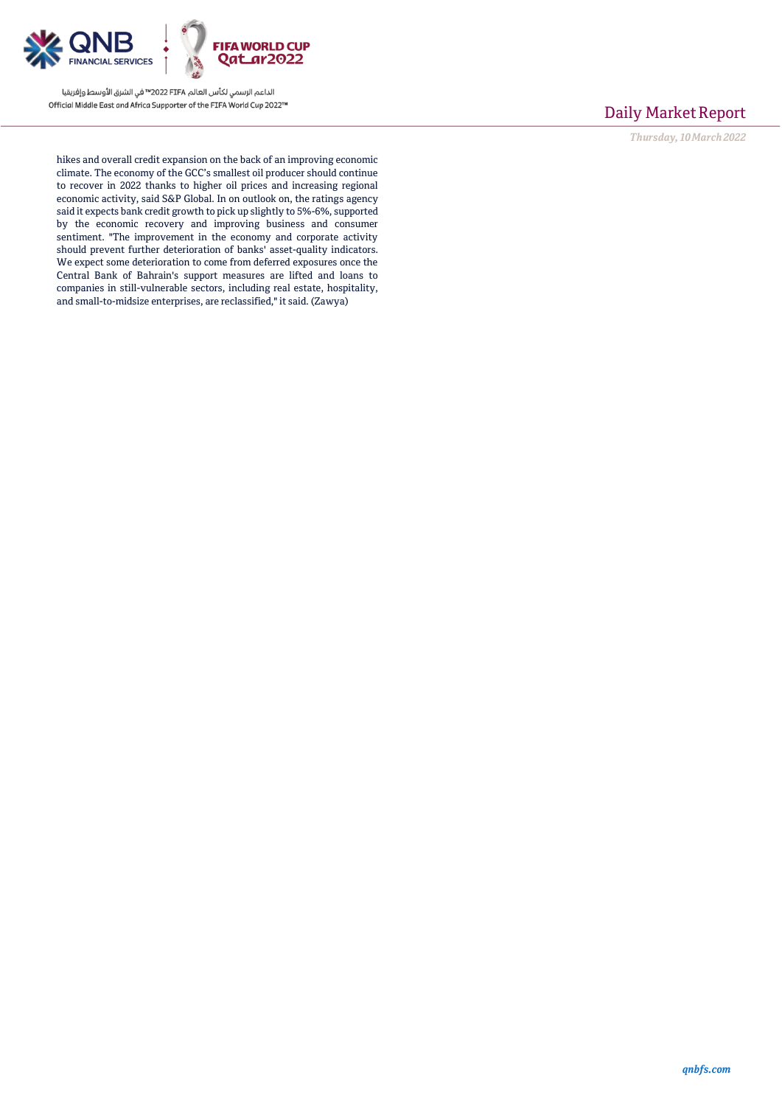

## Daily Market Report

*Thursday, 10March2022*

hikes and overall credit expansion on the back of an improving economic climate. The economy of the GCC's smallest oil producer should continue to recover in 2022 thanks to higher oil prices and increasing regional economic activity, said S&P Global. In on outlook on, the ratings agency said it expects bank credit growth to pick up slightly to 5%-6%, supported by the economic recovery and improving business and consumer sentiment. "The improvement in the economy and corporate activity should prevent further deterioration of banks' asset-quality indicators. We expect some deterioration to come from deferred exposures once the Central Bank of Bahrain's support measures are lifted and loans to companies in still-vulnerable sectors, including real estate, hospitality, and small-to-midsize enterprises, are reclassified," it said. (Zawya)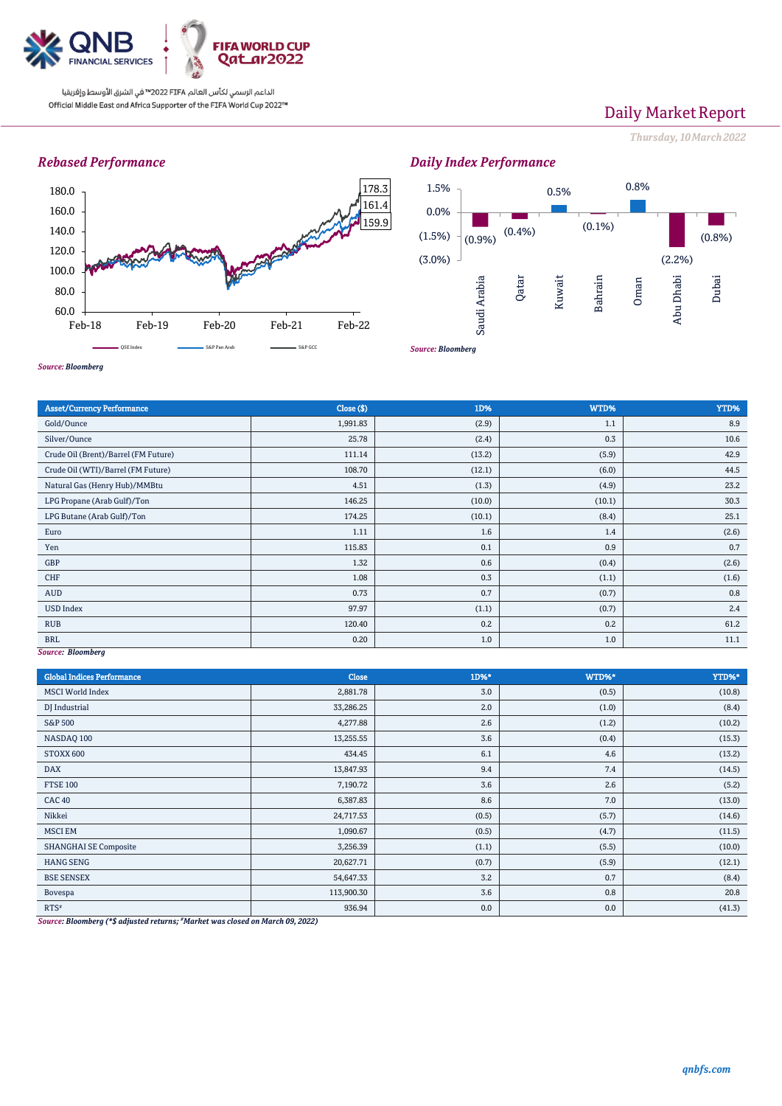

# Daily Market Report

*Thursday, 10March2022*

### *Rebased Performance*



## *Daily Index Performance*



*Source: Bloomberg*

| <b>Asset/Currency Performance</b>    | Close (\$) | 1D%    | WTD%   | YTD%  |  |  |  |
|--------------------------------------|------------|--------|--------|-------|--|--|--|
| Gold/Ounce                           | 1,991.83   | (2.9)  | 1.1    | 8.9   |  |  |  |
| Silver/Ounce                         | 25.78      | (2.4)  | 0.3    | 10.6  |  |  |  |
| Crude Oil (Brent)/Barrel (FM Future) | 111.14     | (13.2) | (5.9)  | 42.9  |  |  |  |
| Crude Oil (WTI)/Barrel (FM Future)   | 108.70     | (12.1) | (6.0)  | 44.5  |  |  |  |
| Natural Gas (Henry Hub)/MMBtu        | 4.51       | (1.3)  | (4.9)  | 23.2  |  |  |  |
| LPG Propane (Arab Gulf)/Ton          | 146.25     | (10.0) | (10.1) | 30.3  |  |  |  |
| LPG Butane (Arab Gulf)/Ton           | 174.25     | (10.1) | (8.4)  | 25.1  |  |  |  |
| Euro                                 | 1.11       | 1.6    | 1.4    | (2.6) |  |  |  |
| Yen                                  | 115.83     | 0.1    | 0.9    | 0.7   |  |  |  |
| GBP                                  | 1.32       | 0.6    | (0.4)  | (2.6) |  |  |  |
| CHF                                  | 1.08       | 0.3    | (1.1)  | (1.6) |  |  |  |
| AUD                                  | 0.73       | 0.7    | (0.7)  | 0.8   |  |  |  |
| <b>USD Index</b>                     | 97.97      | (1.1)  | (0.7)  | 2.4   |  |  |  |
| <b>RUB</b>                           | 120.40     | 0.2    | 0.2    | 61.2  |  |  |  |
| <b>BRL</b>                           | 0.20       | 1.0    | 1.0    | 11.1  |  |  |  |
| Source: Bloomberg                    |            |        |        |       |  |  |  |

*Source: Bloomberg*

| <b>Global Indices Performance</b> | <b>Close</b> | 1D%*  | WTD%* | YTD%*  |
|-----------------------------------|--------------|-------|-------|--------|
| <b>MSCI</b> World Index           | 2,881.78     | 3.0   | (0.5) | (10.8) |
| DJ Industrial                     | 33,286.25    | 2.0   | (1.0) | (8.4)  |
| S&P 500                           | 4,277.88     | 2.6   | (1.2) | (10.2) |
| NASDAQ 100                        | 13,255.55    | 3.6   | (0.4) | (15.3) |
| STOXX 600                         | 434.45       | 6.1   | 4.6   | (13.2) |
| <b>DAX</b>                        | 13,847.93    | 9.4   | 7.4   | (14.5) |
| <b>FTSE 100</b>                   | 7,190.72     | 3.6   | 2.6   | (5.2)  |
| <b>CAC 40</b>                     | 6,387.83     | 8.6   | 7.0   | (13.0) |
| Nikkei                            | 24,717.53    | (0.5) | (5.7) | (14.6) |
| <b>MSCI EM</b>                    | 1,090.67     | (0.5) | (4.7) | (11.5) |
| <b>SHANGHAI SE Composite</b>      | 3,256.39     | (1.1) | (5.5) | (10.0) |
| <b>HANG SENG</b>                  | 20,627.71    | (0.7) | (5.9) | (12.1) |
| <b>BSE SENSEX</b>                 | 54,647.33    | 3.2   | 0.7   | (8.4)  |
| Bovespa                           | 113,900.30   | 3.6   | 0.8   | 20.8   |
| $RTS^*$<br>$\sim$ $\sim$          | 936.94       | 0.0   | 0.0   | (41.3) |

*Source: Bloomberg (\*\$ adjusted returns; #Market was closed on March 09, 2022)*